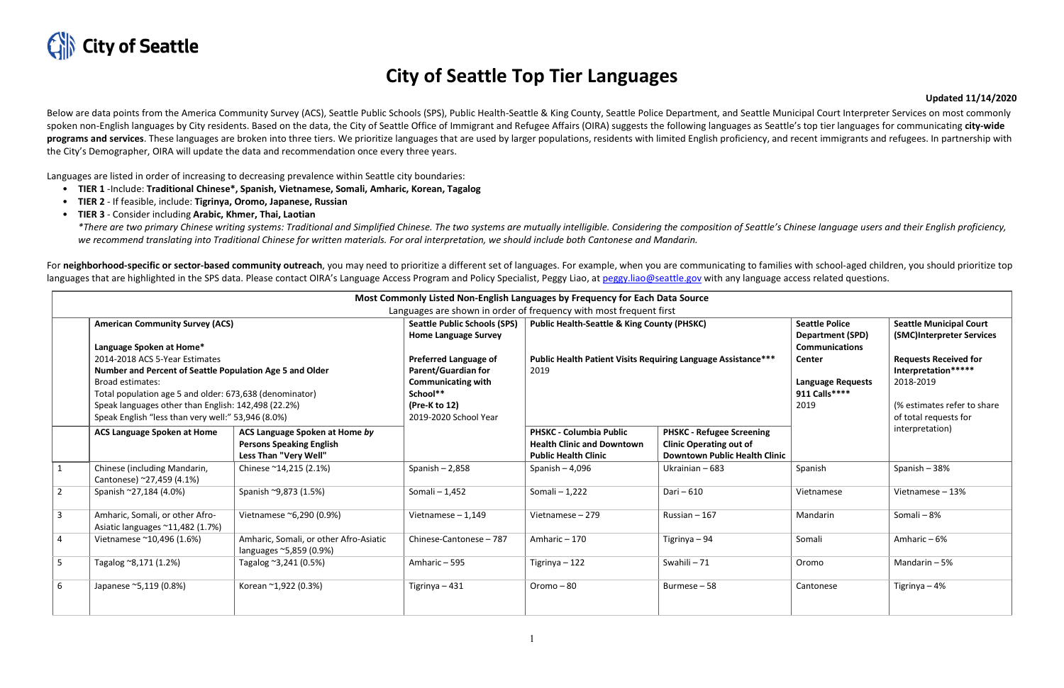

## **City of Seattle Top Tier Languages**

## **Updated 11/14/2020**

Below are data points from the America Community Survey (ACS), Seattle Public Schools (SPS), Public Health-Seattle & King County, Seattle Police Department, and Seattle Municipal Court Interpreter Services on most commonly spoken non-English languages by City residents. Based on the data, the City of Seattle Office of Immigrant and Refugee Affairs (OIRA) suggests the following languages as Seattle's top tier languages for communicating cityprograms and services. These languages are broken into three tiers. We prioritize languages that are used by larger populations, residents with limited English proficiency, and recent immigrants and refugees. In partnershi the City's Demographer, OIRA will update the data and recommendation once every three years.

\*There are two primary Chinese writing systems: Traditional and Simplified Chinese. The two systems are mutually intelligible. Considering the composition of Seattle's Chinese language users and their English proficiency, *we recommend translating into Traditional Chinese for written materials. For oral interpretation, we should include both Cantonese and Mandarin.*

For neighborhood-specific or sector-based community outreach, you may need to prioritize a different set of languages. For example, when you are communicating to families with school-aged children, you should prioritize to languages that are highlighted in the SPS data. Please contact OIRA's Language Access Program and Policy Specialist, Peggy Liao, at [peggy.liao@seattle.gov](mailto:peggy.liao@seattle.gov) with any language access related questions.

Languages are listed in order of increasing to decreasing prevalence within Seattle city boundaries:

- **TIER 1** -Include: **Traditional Chinese\*, Spanish, Vietnamese, Somali, Amharic, Korean, Tagalog**
- **TIER 2**  If feasible, include: **Tigrinya, Oromo, Japanese, Russian**
- **TIER 3**  Consider including **Arabic, Khmer, Thai, Laotian**

| Most Commonly Listed Non-English Languages by Frequency for Each Data Source<br>Languages are shown in order of frequency with most frequent first |                                                                                                                                                                                                                                                                                                                                                                     |                                                                                            |                                                                                                                                                                                                                     |                                                                                                                                 |                                                                                                            |                                                                                                                                                 |                                                                                                                                                                                         |  |  |  |  |
|----------------------------------------------------------------------------------------------------------------------------------------------------|---------------------------------------------------------------------------------------------------------------------------------------------------------------------------------------------------------------------------------------------------------------------------------------------------------------------------------------------------------------------|--------------------------------------------------------------------------------------------|---------------------------------------------------------------------------------------------------------------------------------------------------------------------------------------------------------------------|---------------------------------------------------------------------------------------------------------------------------------|------------------------------------------------------------------------------------------------------------|-------------------------------------------------------------------------------------------------------------------------------------------------|-----------------------------------------------------------------------------------------------------------------------------------------------------------------------------------------|--|--|--|--|
|                                                                                                                                                    | <b>American Community Survey (ACS)</b><br>Language Spoken at Home*<br>2014-2018 ACS 5-Year Estimates<br>Number and Percent of Seattle Population Age 5 and Older<br><b>Broad estimates:</b><br>Total population age 5 and older: 673,638 (denominator)<br>Speak languages other than English: 142,498 (22.2%)<br>Speak English "less than very well:" 53,946 (8.0%) |                                                                                            | <b>Seattle Public Schools (SPS)</b><br><b>Home Language Survey</b><br><b>Preferred Language of</b><br><b>Parent/Guardian for</b><br><b>Communicating with</b><br>School**<br>(Pre-K to 12)<br>2019-2020 School Year | <b>Public Health-Seattle &amp; King County (PHSKC)</b><br>Public Health Patient Visits Requiring Language Assistance***<br>2019 |                                                                                                            | <b>Seattle Police</b><br><b>Department (SPD)</b><br><b>Communications</b><br><b>Center</b><br><b>Language Requests</b><br>911 Calls****<br>2019 | <b>Seattle Municipal Court</b><br>(SMC)Interpreter Services<br><b>Requests Received for</b><br>Interpretation*****<br>2018-2019<br>(% estimates refer to share<br>of total requests for |  |  |  |  |
|                                                                                                                                                    | <b>ACS Language Spoken at Home</b>                                                                                                                                                                                                                                                                                                                                  | ACS Language Spoken at Home by<br><b>Persons Speaking English</b><br>Less Than "Very Well" |                                                                                                                                                                                                                     | <b>PHSKC - Columbia Public</b><br><b>Health Clinic and Downtown</b><br><b>Public Health Clinic</b>                              | <b>PHSKC - Refugee Screening</b><br><b>Clinic Operating out of</b><br><b>Downtown Public Health Clinic</b> |                                                                                                                                                 | interpretation)                                                                                                                                                                         |  |  |  |  |
| $\mathbf{1}$                                                                                                                                       | Chinese (including Mandarin,<br>Cantonese) ~27,459 (4.1%)                                                                                                                                                                                                                                                                                                           | Chinese ~14,215 (2.1%)                                                                     | Spanish $-2,858$                                                                                                                                                                                                    | Spanish $-4,096$                                                                                                                | Ukrainian - 683                                                                                            | Spanish                                                                                                                                         | Spanish - 38%                                                                                                                                                                           |  |  |  |  |
| $\overline{2}$                                                                                                                                     | Spanish ~27,184 (4.0%)                                                                                                                                                                                                                                                                                                                                              | Spanish ~9,873 (1.5%)                                                                      | Somali - 1,452                                                                                                                                                                                                      | Somali - 1,222                                                                                                                  | Dari - 610                                                                                                 | Vietnamese                                                                                                                                      | Vietnamese - 13%                                                                                                                                                                        |  |  |  |  |
| $\overline{3}$                                                                                                                                     | Amharic, Somali, or other Afro-<br>Asiatic languages ~11,482 (1.7%)                                                                                                                                                                                                                                                                                                 | Vietnamese ~6,290 (0.9%)                                                                   | Vietnamese $-1,149$                                                                                                                                                                                                 | Vietnamese - 279                                                                                                                | Russian $-167$                                                                                             | Mandarin                                                                                                                                        | Somali-8%                                                                                                                                                                               |  |  |  |  |
| $\overline{a}$                                                                                                                                     | Vietnamese ~10,496 (1.6%)                                                                                                                                                                                                                                                                                                                                           | Amharic, Somali, or other Afro-Asiatic<br>languages ~5,859 (0.9%)                          | Chinese-Cantonese - 787                                                                                                                                                                                             | Amharic-170                                                                                                                     | Tigrinya - 94                                                                                              | Somali                                                                                                                                          | Amharic-6%                                                                                                                                                                              |  |  |  |  |
| 5                                                                                                                                                  | Tagalog ~8,171 (1.2%)                                                                                                                                                                                                                                                                                                                                               | Tagalog ~3,241 (0.5%)                                                                      | Amharic - 595                                                                                                                                                                                                       | Tigrinya - 122                                                                                                                  | Swahili-71                                                                                                 | Oromo                                                                                                                                           | Mandarin $-5%$                                                                                                                                                                          |  |  |  |  |
| 6                                                                                                                                                  | Japanese ~5,119 (0.8%)                                                                                                                                                                                                                                                                                                                                              | Korean ~1,922 (0.3%)                                                                       | Tigrinya - 431                                                                                                                                                                                                      | Oromo - 80                                                                                                                      | Burmese-58                                                                                                 | Cantonese                                                                                                                                       | Tigrinya - 4%                                                                                                                                                                           |  |  |  |  |